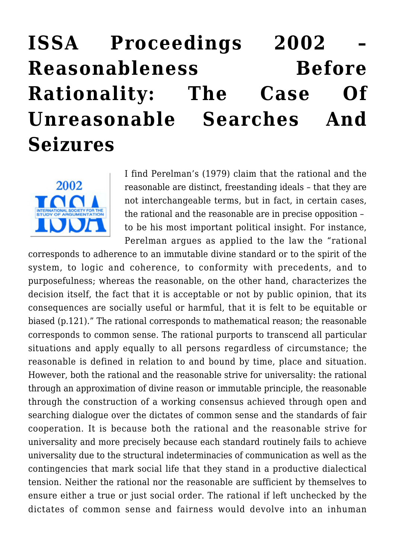## **[ISSA Proceedings 2002 –](https://rozenbergquarterly.com/issa-proceedings-2002-reasonableness-before-rationality-the-case-of-unreasonable-searches-and-seizures/) [Reasonableness Before](https://rozenbergquarterly.com/issa-proceedings-2002-reasonableness-before-rationality-the-case-of-unreasonable-searches-and-seizures/) [Rationality: The Case Of](https://rozenbergquarterly.com/issa-proceedings-2002-reasonableness-before-rationality-the-case-of-unreasonable-searches-and-seizures/) [Unreasonable Searches And](https://rozenbergquarterly.com/issa-proceedings-2002-reasonableness-before-rationality-the-case-of-unreasonable-searches-and-seizures/) [Seizures](https://rozenbergquarterly.com/issa-proceedings-2002-reasonableness-before-rationality-the-case-of-unreasonable-searches-and-seizures/)**



I find Perelman's (1979) claim that the rational and the reasonable are distinct, freestanding ideals – that they are not interchangeable terms, but in fact, in certain cases, the rational and the reasonable are in precise opposition – to be his most important political insight. For instance, Perelman argues as applied to the law the "rational

corresponds to adherence to an immutable divine standard or to the spirit of the system, to logic and coherence, to conformity with precedents, and to purposefulness; whereas the reasonable, on the other hand, characterizes the decision itself, the fact that it is acceptable or not by public opinion, that its consequences are socially useful or harmful, that it is felt to be equitable or biased (p.121)." The rational corresponds to mathematical reason; the reasonable corresponds to common sense. The rational purports to transcend all particular situations and apply equally to all persons regardless of circumstance; the reasonable is defined in relation to and bound by time, place and situation. However, both the rational and the reasonable strive for universality: the rational through an approximation of divine reason or immutable principle, the reasonable through the construction of a working consensus achieved through open and searching dialogue over the dictates of common sense and the standards of fair cooperation. It is because both the rational and the reasonable strive for universality and more precisely because each standard routinely fails to achieve universality due to the structural indeterminacies of communication as well as the contingencies that mark social life that they stand in a productive dialectical tension. Neither the rational nor the reasonable are sufficient by themselves to ensure either a true or just social order. The rational if left unchecked by the dictates of common sense and fairness would devolve into an inhuman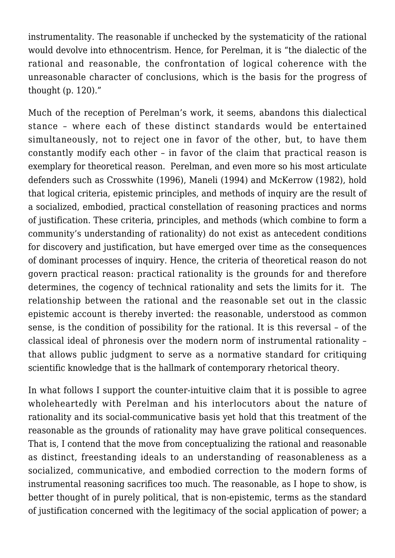instrumentality. The reasonable if unchecked by the systematicity of the rational would devolve into ethnocentrism. Hence, for Perelman, it is "the dialectic of the rational and reasonable, the confrontation of logical coherence with the unreasonable character of conclusions, which is the basis for the progress of thought (p. 120)."

Much of the reception of Perelman's work, it seems, abandons this dialectical stance – where each of these distinct standards would be entertained simultaneously, not to reject one in favor of the other, but, to have them constantly modify each other – in favor of the claim that practical reason is exemplary for theoretical reason. Perelman, and even more so his most articulate defenders such as Crosswhite (1996), Maneli (1994) and McKerrow (1982), hold that logical criteria, epistemic principles, and methods of inquiry are the result of a socialized, embodied, practical constellation of reasoning practices and norms of justification. These criteria, principles, and methods (which combine to form a community's understanding of rationality) do not exist as antecedent conditions for discovery and justification, but have emerged over time as the consequences of dominant processes of inquiry. Hence, the criteria of theoretical reason do not govern practical reason: practical rationality is the grounds for and therefore determines, the cogency of technical rationality and sets the limits for it. The relationship between the rational and the reasonable set out in the classic epistemic account is thereby inverted: the reasonable, understood as common sense, is the condition of possibility for the rational. It is this reversal – of the classical ideal of phronesis over the modern norm of instrumental rationality – that allows public judgment to serve as a normative standard for critiquing scientific knowledge that is the hallmark of contemporary rhetorical theory.

In what follows I support the counter-intuitive claim that it is possible to agree wholeheartedly with Perelman and his interlocutors about the nature of rationality and its social-communicative basis yet hold that this treatment of the reasonable as the grounds of rationality may have grave political consequences. That is, I contend that the move from conceptualizing the rational and reasonable as distinct, freestanding ideals to an understanding of reasonableness as a socialized, communicative, and embodied correction to the modern forms of instrumental reasoning sacrifices too much. The reasonable, as I hope to show, is better thought of in purely political, that is non-epistemic, terms as the standard of justification concerned with the legitimacy of the social application of power; a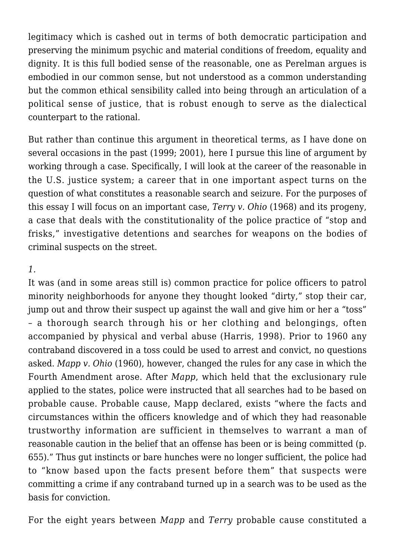legitimacy which is cashed out in terms of both democratic participation and preserving the minimum psychic and material conditions of freedom, equality and dignity. It is this full bodied sense of the reasonable, one as Perelman argues is embodied in our common sense, but not understood as a common understanding but the common ethical sensibility called into being through an articulation of a political sense of justice, that is robust enough to serve as the dialectical counterpart to the rational.

But rather than continue this argument in theoretical terms, as I have done on several occasions in the past (1999; 2001), here I pursue this line of argument by working through a case. Specifically, I will look at the career of the reasonable in the U.S. justice system; a career that in one important aspect turns on the question of what constitutes a reasonable search and seizure. For the purposes of this essay I will focus on an important case, *Terry v. Ohio* (1968) and its progeny, a case that deals with the constitutionality of the police practice of "stop and frisks," investigative detentions and searches for weapons on the bodies of criminal suspects on the street.

## *1.*

It was (and in some areas still is) common practice for police officers to patrol minority neighborhoods for anyone they thought looked "dirty," stop their car, jump out and throw their suspect up against the wall and give him or her a "toss" – a thorough search through his or her clothing and belongings, often accompanied by physical and verbal abuse (Harris, 1998). Prior to 1960 any contraband discovered in a toss could be used to arrest and convict, no questions asked. *Mapp v. Ohio* (1960), however, changed the rules for any case in which the Fourth Amendment arose. After *Mapp*, which held that the exclusionary rule applied to the states, police were instructed that all searches had to be based on probable cause. Probable cause, Mapp declared, exists "where the facts and circumstances within the officers knowledge and of which they had reasonable trustworthy information are sufficient in themselves to warrant a man of reasonable caution in the belief that an offense has been or is being committed (p. 655)." Thus gut instincts or bare hunches were no longer sufficient, the police had to "know based upon the facts present before them" that suspects were committing a crime if any contraband turned up in a search was to be used as the basis for conviction.

For the eight years between *Mapp* and *Terry* probable cause constituted a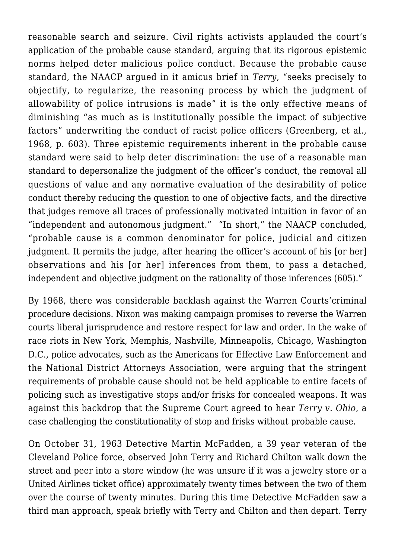reasonable search and seizure. Civil rights activists applauded the court's application of the probable cause standard, arguing that its rigorous epistemic norms helped deter malicious police conduct. Because the probable cause standard, the NAACP argued in it amicus brief in *Terry*, "seeks precisely to objectify, to regularize, the reasoning process by which the judgment of allowability of police intrusions is made" it is the only effective means of diminishing "as much as is institutionally possible the impact of subjective factors" underwriting the conduct of racist police officers (Greenberg, et al., 1968, p. 603). Three epistemic requirements inherent in the probable cause standard were said to help deter discrimination: the use of a reasonable man standard to depersonalize the judgment of the officer's conduct, the removal all questions of value and any normative evaluation of the desirability of police conduct thereby reducing the question to one of objective facts, and the directive that judges remove all traces of professionally motivated intuition in favor of an "independent and autonomous judgment." "In short," the NAACP concluded, "probable cause is a common denominator for police, judicial and citizen judgment. It permits the judge, after hearing the officer's account of his [or her] observations and his [or her] inferences from them, to pass a detached, independent and objective judgment on the rationality of those inferences (605)."

By 1968, there was considerable backlash against the Warren Courts'criminal procedure decisions. Nixon was making campaign promises to reverse the Warren courts liberal jurisprudence and restore respect for law and order. In the wake of race riots in New York, Memphis, Nashville, Minneapolis, Chicago, Washington D.C., police advocates, such as the Americans for Effective Law Enforcement and the National District Attorneys Association, were arguing that the stringent requirements of probable cause should not be held applicable to entire facets of policing such as investigative stops and/or frisks for concealed weapons. It was against this backdrop that the Supreme Court agreed to hear *Terry v. Ohio*, a case challenging the constitutionality of stop and frisks without probable cause.

On October 31, 1963 Detective Martin McFadden, a 39 year veteran of the Cleveland Police force, observed John Terry and Richard Chilton walk down the street and peer into a store window (he was unsure if it was a jewelry store or a United Airlines ticket office) approximately twenty times between the two of them over the course of twenty minutes. During this time Detective McFadden saw a third man approach, speak briefly with Terry and Chilton and then depart. Terry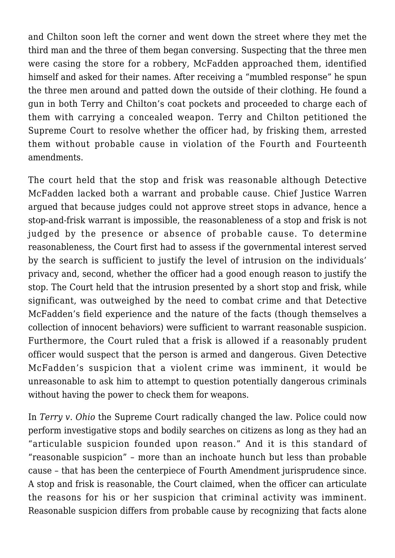and Chilton soon left the corner and went down the street where they met the third man and the three of them began conversing. Suspecting that the three men were casing the store for a robbery, McFadden approached them, identified himself and asked for their names. After receiving a "mumbled response" he spun the three men around and patted down the outside of their clothing. He found a gun in both Terry and Chilton's coat pockets and proceeded to charge each of them with carrying a concealed weapon. Terry and Chilton petitioned the Supreme Court to resolve whether the officer had, by frisking them, arrested them without probable cause in violation of the Fourth and Fourteenth amendments.

The court held that the stop and frisk was reasonable although Detective McFadden lacked both a warrant and probable cause. Chief Justice Warren argued that because judges could not approve street stops in advance, hence a stop-and-frisk warrant is impossible, the reasonableness of a stop and frisk is not judged by the presence or absence of probable cause. To determine reasonableness, the Court first had to assess if the governmental interest served by the search is sufficient to justify the level of intrusion on the individuals' privacy and, second, whether the officer had a good enough reason to justify the stop. The Court held that the intrusion presented by a short stop and frisk, while significant, was outweighed by the need to combat crime and that Detective McFadden's field experience and the nature of the facts (though themselves a collection of innocent behaviors) were sufficient to warrant reasonable suspicion. Furthermore, the Court ruled that a frisk is allowed if a reasonably prudent officer would suspect that the person is armed and dangerous. Given Detective McFadden's suspicion that a violent crime was imminent, it would be unreasonable to ask him to attempt to question potentially dangerous criminals without having the power to check them for weapons.

In *Terry v. Ohio* the Supreme Court radically changed the law. Police could now perform investigative stops and bodily searches on citizens as long as they had an "articulable suspicion founded upon reason." And it is this standard of "reasonable suspicion" – more than an inchoate hunch but less than probable cause – that has been the centerpiece of Fourth Amendment jurisprudence since. A stop and frisk is reasonable, the Court claimed, when the officer can articulate the reasons for his or her suspicion that criminal activity was imminent. Reasonable suspicion differs from probable cause by recognizing that facts alone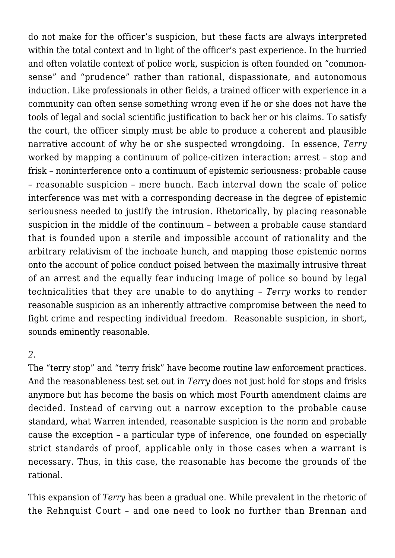do not make for the officer's suspicion, but these facts are always interpreted within the total context and in light of the officer's past experience. In the hurried and often volatile context of police work, suspicion is often founded on "commonsense" and "prudence" rather than rational, dispassionate, and autonomous induction. Like professionals in other fields, a trained officer with experience in a community can often sense something wrong even if he or she does not have the tools of legal and social scientific justification to back her or his claims. To satisfy the court, the officer simply must be able to produce a coherent and plausible narrative account of why he or she suspected wrongdoing. In essence, *Terry* worked by mapping a continuum of police-citizen interaction: arrest – stop and frisk – noninterference onto a continuum of epistemic seriousness: probable cause – reasonable suspicion – mere hunch. Each interval down the scale of police interference was met with a corresponding decrease in the degree of epistemic seriousness needed to justify the intrusion. Rhetorically, by placing reasonable suspicion in the middle of the continuum – between a probable cause standard that is founded upon a sterile and impossible account of rationality and the arbitrary relativism of the inchoate hunch, and mapping those epistemic norms onto the account of police conduct poised between the maximally intrusive threat of an arrest and the equally fear inducing image of police so bound by legal technicalities that they are unable to do anything – *Terry* works to render reasonable suspicion as an inherently attractive compromise between the need to fight crime and respecting individual freedom. Reasonable suspicion, in short, sounds eminently reasonable.

## *2.*

The "terry stop" and "terry frisk" have become routine law enforcement practices. And the reasonableness test set out in *Terry* does not just hold for stops and frisks anymore but has become the basis on which most Fourth amendment claims are decided. Instead of carving out a narrow exception to the probable cause standard, what Warren intended, reasonable suspicion is the norm and probable cause the exception – a particular type of inference, one founded on especially strict standards of proof, applicable only in those cases when a warrant is necessary. Thus, in this case, the reasonable has become the grounds of the rational.

This expansion of *Terry* has been a gradual one. While prevalent in the rhetoric of the Rehnquist Court – and one need to look no further than Brennan and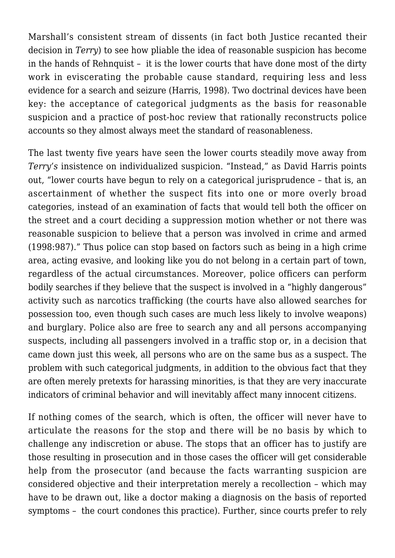Marshall's consistent stream of dissents (in fact both Justice recanted their decision in *Terry*) to see how pliable the idea of reasonable suspicion has become in the hands of Rehnquist – it is the lower courts that have done most of the dirty work in eviscerating the probable cause standard, requiring less and less evidence for a search and seizure (Harris, 1998). Two doctrinal devices have been key: the acceptance of categorical judgments as the basis for reasonable suspicion and a practice of post-hoc review that rationally reconstructs police accounts so they almost always meet the standard of reasonableness.

The last twenty five years have seen the lower courts steadily move away from *Terry's* insistence on individualized suspicion. "Instead," as David Harris points out, "lower courts have begun to rely on a categorical jurisprudence – that is, an ascertainment of whether the suspect fits into one or more overly broad categories, instead of an examination of facts that would tell both the officer on the street and a court deciding a suppression motion whether or not there was reasonable suspicion to believe that a person was involved in crime and armed (1998:987)." Thus police can stop based on factors such as being in a high crime area, acting evasive, and looking like you do not belong in a certain part of town, regardless of the actual circumstances. Moreover, police officers can perform bodily searches if they believe that the suspect is involved in a "highly dangerous" activity such as narcotics trafficking (the courts have also allowed searches for possession too, even though such cases are much less likely to involve weapons) and burglary. Police also are free to search any and all persons accompanying suspects, including all passengers involved in a traffic stop or, in a decision that came down just this week, all persons who are on the same bus as a suspect. The problem with such categorical judgments, in addition to the obvious fact that they are often merely pretexts for harassing minorities, is that they are very inaccurate indicators of criminal behavior and will inevitably affect many innocent citizens.

If nothing comes of the search, which is often, the officer will never have to articulate the reasons for the stop and there will be no basis by which to challenge any indiscretion or abuse. The stops that an officer has to justify are those resulting in prosecution and in those cases the officer will get considerable help from the prosecutor (and because the facts warranting suspicion are considered objective and their interpretation merely a recollection – which may have to be drawn out, like a doctor making a diagnosis on the basis of reported symptoms – the court condones this practice). Further, since courts prefer to rely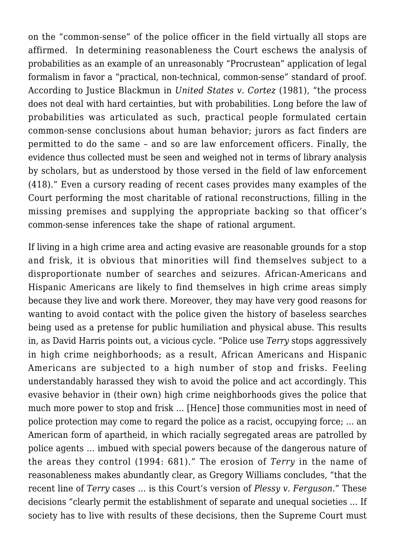on the "common-sense" of the police officer in the field virtually all stops are affirmed. In determining reasonableness the Court eschews the analysis of probabilities as an example of an unreasonably "Procrustean" application of legal formalism in favor a "practical, non-technical, common-sense" standard of proof. According to Justice Blackmun in *United States v. Cortez* (1981), "the process does not deal with hard certainties, but with probabilities. Long before the law of probabilities was articulated as such, practical people formulated certain common-sense conclusions about human behavior; jurors as fact finders are permitted to do the same – and so are law enforcement officers. Finally, the evidence thus collected must be seen and weighed not in terms of library analysis by scholars, but as understood by those versed in the field of law enforcement (418)." Even a cursory reading of recent cases provides many examples of the Court performing the most charitable of rational reconstructions, filling in the missing premises and supplying the appropriate backing so that officer's common-sense inferences take the shape of rational argument.

If living in a high crime area and acting evasive are reasonable grounds for a stop and frisk, it is obvious that minorities will find themselves subject to a disproportionate number of searches and seizures. African-Americans and Hispanic Americans are likely to find themselves in high crime areas simply because they live and work there. Moreover, they may have very good reasons for wanting to avoid contact with the police given the history of baseless searches being used as a pretense for public humiliation and physical abuse. This results in, as David Harris points out, a vicious cycle. "Police use *Terry* stops aggressively in high crime neighborhoods; as a result, African Americans and Hispanic Americans are subjected to a high number of stop and frisks. Feeling understandably harassed they wish to avoid the police and act accordingly. This evasive behavior in (their own) high crime neighborhoods gives the police that much more power to stop and frisk … [Hence] those communities most in need of police protection may come to regard the police as a racist, occupying force; … an American form of apartheid, in which racially segregated areas are patrolled by police agents … imbued with special powers because of the dangerous nature of the areas they control (1994: 681)." The erosion of *Terry* in the name of reasonableness makes abundantly clear, as Gregory Williams concludes, "that the recent line of *Terry* cases … is this Court's version of *Plessy v. Ferguson*." These decisions "clearly permit the establishment of separate and unequal societies … If society has to live with results of these decisions, then the Supreme Court must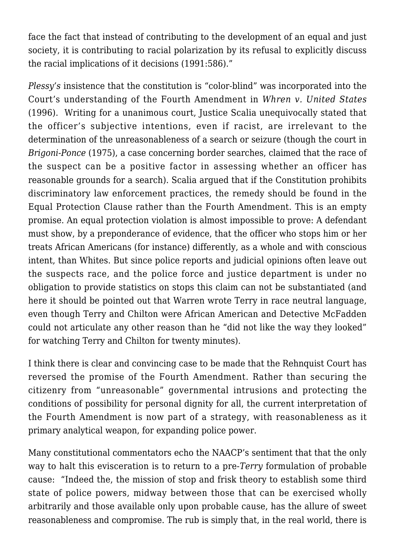face the fact that instead of contributing to the development of an equal and just society, it is contributing to racial polarization by its refusal to explicitly discuss the racial implications of it decisions (1991:586)."

*Plessy's* insistence that the constitution is "color-blind" was incorporated into the Court's understanding of the Fourth Amendment in *Whren v. United States* (1996). Writing for a unanimous court, Justice Scalia unequivocally stated that the officer's subjective intentions, even if racist, are irrelevant to the determination of the unreasonableness of a search or seizure (though the court in *Brigoni-Ponce* (1975), a case concerning border searches, claimed that the race of the suspect can be a positive factor in assessing whether an officer has reasonable grounds for a search). Scalia argued that if the Constitution prohibits discriminatory law enforcement practices, the remedy should be found in the Equal Protection Clause rather than the Fourth Amendment. This is an empty promise. An equal protection violation is almost impossible to prove: A defendant must show, by a preponderance of evidence, that the officer who stops him or her treats African Americans (for instance) differently, as a whole and with conscious intent, than Whites. But since police reports and judicial opinions often leave out the suspects race, and the police force and justice department is under no obligation to provide statistics on stops this claim can not be substantiated (and here it should be pointed out that Warren wrote Terry in race neutral language, even though Terry and Chilton were African American and Detective McFadden could not articulate any other reason than he "did not like the way they looked" for watching Terry and Chilton for twenty minutes).

I think there is clear and convincing case to be made that the Rehnquist Court has reversed the promise of the Fourth Amendment. Rather than securing the citizenry from "unreasonable" governmental intrusions and protecting the conditions of possibility for personal dignity for all, the current interpretation of the Fourth Amendment is now part of a strategy, with reasonableness as it primary analytical weapon, for expanding police power.

Many constitutional commentators echo the NAACP's sentiment that that the only way to halt this evisceration is to return to a pre-*Terry* formulation of probable cause: "Indeed the, the mission of stop and frisk theory to establish some third state of police powers, midway between those that can be exercised wholly arbitrarily and those available only upon probable cause, has the allure of sweet reasonableness and compromise. The rub is simply that, in the real world, there is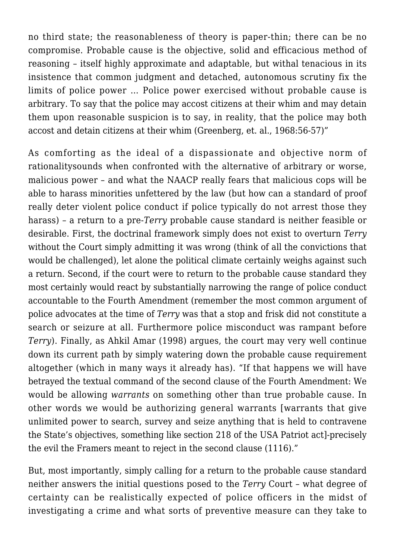no third state; the reasonableness of theory is paper-thin; there can be no compromise. Probable cause is the objective, solid and efficacious method of reasoning – itself highly approximate and adaptable, but withal tenacious in its insistence that common judgment and detached, autonomous scrutiny fix the limits of police power … Police power exercised without probable cause is arbitrary. To say that the police may accost citizens at their whim and may detain them upon reasonable suspicion is to say, in reality, that the police may both accost and detain citizens at their whim (Greenberg, et. al., 1968:56-57)"

As comforting as the ideal of a dispassionate and objective norm of rationalitysounds when confronted with the alternative of arbitrary or worse, malicious power – and what the NAACP really fears that malicious cops will be able to harass minorities unfettered by the law (but how can a standard of proof really deter violent police conduct if police typically do not arrest those they harass) – a return to a pre-*Terry* probable cause standard is neither feasible or desirable. First, the doctrinal framework simply does not exist to overturn *Terry* without the Court simply admitting it was wrong (think of all the convictions that would be challenged), let alone the political climate certainly weighs against such a return. Second, if the court were to return to the probable cause standard they most certainly would react by substantially narrowing the range of police conduct accountable to the Fourth Amendment (remember the most common argument of police advocates at the time of *Terry* was that a stop and frisk did not constitute a search or seizure at all. Furthermore police misconduct was rampant before *Terry*). Finally, as Ahkil Amar (1998) argues, the court may very well continue down its current path by simply watering down the probable cause requirement altogether (which in many ways it already has). "If that happens we will have betrayed the textual command of the second clause of the Fourth Amendment: We would be allowing *warrants* on something other than true probable cause. In other words we would be authorizing general warrants [warrants that give unlimited power to search, survey and seize anything that is held to contravene the State's objectives, something like section 218 of the USA Patriot act]-precisely the evil the Framers meant to reject in the second clause (1116)."

But, most importantly, simply calling for a return to the probable cause standard neither answers the initial questions posed to the *Terry* Court – what degree of certainty can be realistically expected of police officers in the midst of investigating a crime and what sorts of preventive measure can they take to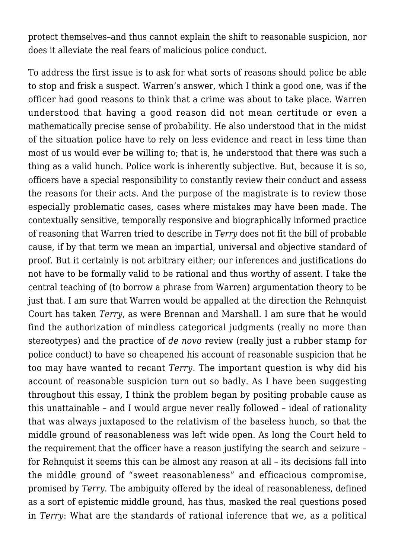protect themselves–and thus cannot explain the shift to reasonable suspicion, nor does it alleviate the real fears of malicious police conduct.

To address the first issue is to ask for what sorts of reasons should police be able to stop and frisk a suspect. Warren's answer, which I think a good one, was if the officer had good reasons to think that a crime was about to take place. Warren understood that having a good reason did not mean certitude or even a mathematically precise sense of probability. He also understood that in the midst of the situation police have to rely on less evidence and react in less time than most of us would ever be willing to; that is, he understood that there was such a thing as a valid hunch. Police work is inherently subjective. But, because it is so, officers have a special responsibility to constantly review their conduct and assess the reasons for their acts. And the purpose of the magistrate is to review those especially problematic cases, cases where mistakes may have been made. The contextually sensitive, temporally responsive and biographically informed practice of reasoning that Warren tried to describe in *Terry* does not fit the bill of probable cause, if by that term we mean an impartial, universal and objective standard of proof. But it certainly is not arbitrary either; our inferences and justifications do not have to be formally valid to be rational and thus worthy of assent. I take the central teaching of (to borrow a phrase from Warren) argumentation theory to be just that. I am sure that Warren would be appalled at the direction the Rehnquist Court has taken *Terry*, as were Brennan and Marshall. I am sure that he would find the authorization of mindless categorical judgments (really no more than stereotypes) and the practice of *de novo* review (really just a rubber stamp for police conduct) to have so cheapened his account of reasonable suspicion that he too may have wanted to recant *Terry*. The important question is why did his account of reasonable suspicion turn out so badly. As I have been suggesting throughout this essay, I think the problem began by positing probable cause as this unattainable – and I would argue never really followed – ideal of rationality that was always juxtaposed to the relativism of the baseless hunch, so that the middle ground of reasonableness was left wide open. As long the Court held to the requirement that the officer have a reason justifying the search and seizure – for Rehnquist it seems this can be almost any reason at all – its decisions fall into the middle ground of "sweet reasonableness" and efficacious compromise, promised by *Terry*. The ambiguity offered by the ideal of reasonableness, defined as a sort of epistemic middle ground, has thus, masked the real questions posed in *Terry*: What are the standards of rational inference that we, as a political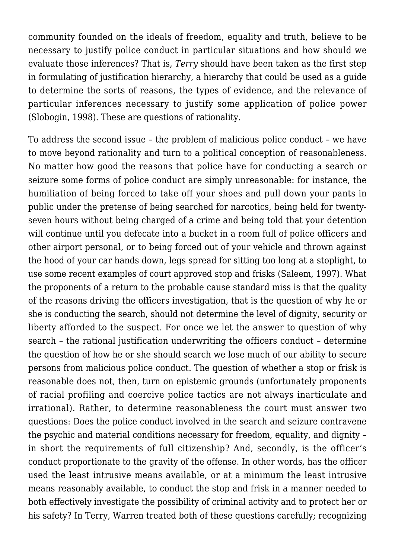community founded on the ideals of freedom, equality and truth, believe to be necessary to justify police conduct in particular situations and how should we evaluate those inferences? That is, *Terry* should have been taken as the first step in formulating of justification hierarchy, a hierarchy that could be used as a guide to determine the sorts of reasons, the types of evidence, and the relevance of particular inferences necessary to justify some application of police power (Slobogin, 1998). These are questions of rationality.

To address the second issue – the problem of malicious police conduct – we have to move beyond rationality and turn to a political conception of reasonableness. No matter how good the reasons that police have for conducting a search or seizure some forms of police conduct are simply unreasonable: for instance, the humiliation of being forced to take off your shoes and pull down your pants in public under the pretense of being searched for narcotics, being held for twentyseven hours without being charged of a crime and being told that your detention will continue until you defecate into a bucket in a room full of police officers and other airport personal, or to being forced out of your vehicle and thrown against the hood of your car hands down, legs spread for sitting too long at a stoplight, to use some recent examples of court approved stop and frisks (Saleem, 1997). What the proponents of a return to the probable cause standard miss is that the quality of the reasons driving the officers investigation, that is the question of why he or she is conducting the search, should not determine the level of dignity, security or liberty afforded to the suspect. For once we let the answer to question of why search – the rational justification underwriting the officers conduct – determine the question of how he or she should search we lose much of our ability to secure persons from malicious police conduct. The question of whether a stop or frisk is reasonable does not, then, turn on epistemic grounds (unfortunately proponents of racial profiling and coercive police tactics are not always inarticulate and irrational). Rather, to determine reasonableness the court must answer two questions: Does the police conduct involved in the search and seizure contravene the psychic and material conditions necessary for freedom, equality, and dignity – in short the requirements of full citizenship? And, secondly, is the officer's conduct proportionate to the gravity of the offense. In other words, has the officer used the least intrusive means available, or at a minimum the least intrusive means reasonably available, to conduct the stop and frisk in a manner needed to both effectively investigate the possibility of criminal activity and to protect her or his safety? In Terry, Warren treated both of these questions carefully; recognizing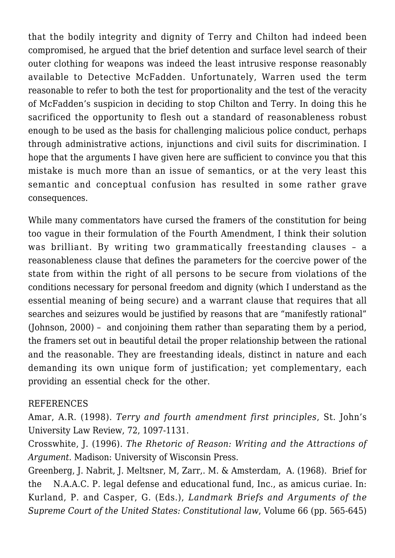that the bodily integrity and dignity of Terry and Chilton had indeed been compromised, he argued that the brief detention and surface level search of their outer clothing for weapons was indeed the least intrusive response reasonably available to Detective McFadden. Unfortunately, Warren used the term reasonable to refer to both the test for proportionality and the test of the veracity of McFadden's suspicion in deciding to stop Chilton and Terry. In doing this he sacrificed the opportunity to flesh out a standard of reasonableness robust enough to be used as the basis for challenging malicious police conduct, perhaps through administrative actions, injunctions and civil suits for discrimination. I hope that the arguments I have given here are sufficient to convince you that this mistake is much more than an issue of semantics, or at the very least this semantic and conceptual confusion has resulted in some rather grave consequences.

While many commentators have cursed the framers of the constitution for being too vague in their formulation of the Fourth Amendment, I think their solution was brilliant. By writing two grammatically freestanding clauses – a reasonableness clause that defines the parameters for the coercive power of the state from within the right of all persons to be secure from violations of the conditions necessary for personal freedom and dignity (which I understand as the essential meaning of being secure) and a warrant clause that requires that all searches and seizures would be justified by reasons that are "manifestly rational" (Johnson, 2000) – and conjoining them rather than separating them by a period, the framers set out in beautiful detail the proper relationship between the rational and the reasonable. They are freestanding ideals, distinct in nature and each demanding its own unique form of justification; yet complementary, each providing an essential check for the other.

## REFERENCES

Amar, A.R. (1998). *Terry and fourth amendment first principles*, St. John's University Law Review, 72, 1097-1131.

Crosswhite, J. (1996). *The Rhetoric of Reason: Writing and the Attractions of Argument*. Madison: University of Wisconsin Press.

Greenberg, J. Nabrit, J. Meltsner, M, Zarr,. M. & Amsterdam, A. (1968). Brief for the N.A.A.C. P. legal defense and educational fund, Inc., as amicus curiae. In: Kurland, P. and Casper, G. (Eds.), *Landmark Briefs and Arguments of the Supreme Court of the United States: Constitutional law*, Volume 66 (pp. 565-645)